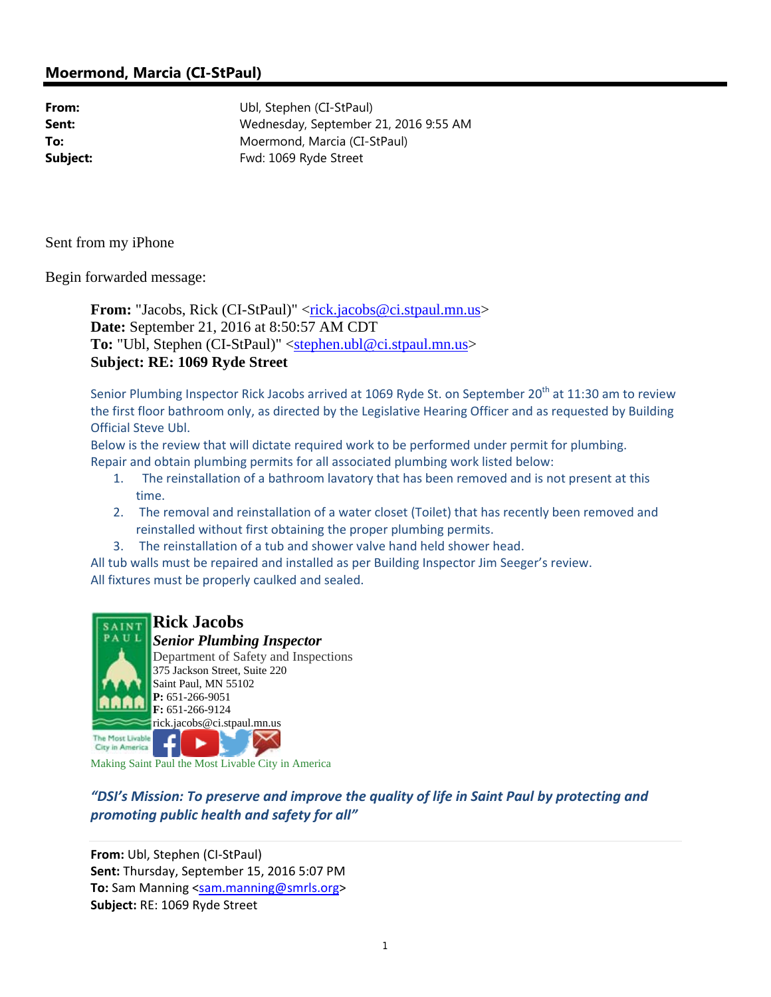## **Moermond, Marcia (CI-StPaul)**

**From:** Ubl, Stephen (CI-StPaul) **Sent:** Wednesday, September 21, 2016 9:55 AM **To:** Moermond, Marcia (CI-StPaul) **Subject:** Fwd: 1069 Ryde Street

Sent from my iPhone

Begin forwarded message:

**From:** "Jacobs, Rick (CI-StPaul)" <rick.jacobs@ci.stpaul.mn.us> **Date:** September 21, 2016 at 8:50:57 AM CDT **To:** "Ubl, Stephen (CI-StPaul)" <stephen.ubl@ci.stpaul.mn.us> **Subject: RE: 1069 Ryde Street**

Senior Plumbing Inspector Rick Jacobs arrived at 1069 Ryde St. on September 20<sup>th</sup> at 11:30 am to review the first floor bathroom only, as directed by the Legislative Hearing Officer and as requested by Building Official Steve Ubl.

Below is the review that will dictate required work to be performed under permit for plumbing. Repair and obtain plumbing permits for all associated plumbing work listed below:

- 1. The reinstallation of a bathroom lavatory that has been removed and is not present at this time.
- 2. The removal and reinstallation of a water closet (Toilet) that has recently been removed and reinstalled without first obtaining the proper plumbing permits.
- 3. The reinstallation of a tub and shower valve hand held shower head.

All tub walls must be repaired and installed as per Building Inspector Jim Seeger's review. All fixtures must be properly caulked and sealed.



City in America

Making Saint Paul the Most Livable City in America

*"DSI's Mission: To preserve and improve the quality of life in Saint Paul by protecting and promoting public health and safety for all"*

**From:** Ubl, Stephen (CI‐StPaul) **Sent:** Thursday, September 15, 2016 5:07 PM **To:** Sam Manning <sam.manning@smrls.org> **Subject:** RE: 1069 Ryde Street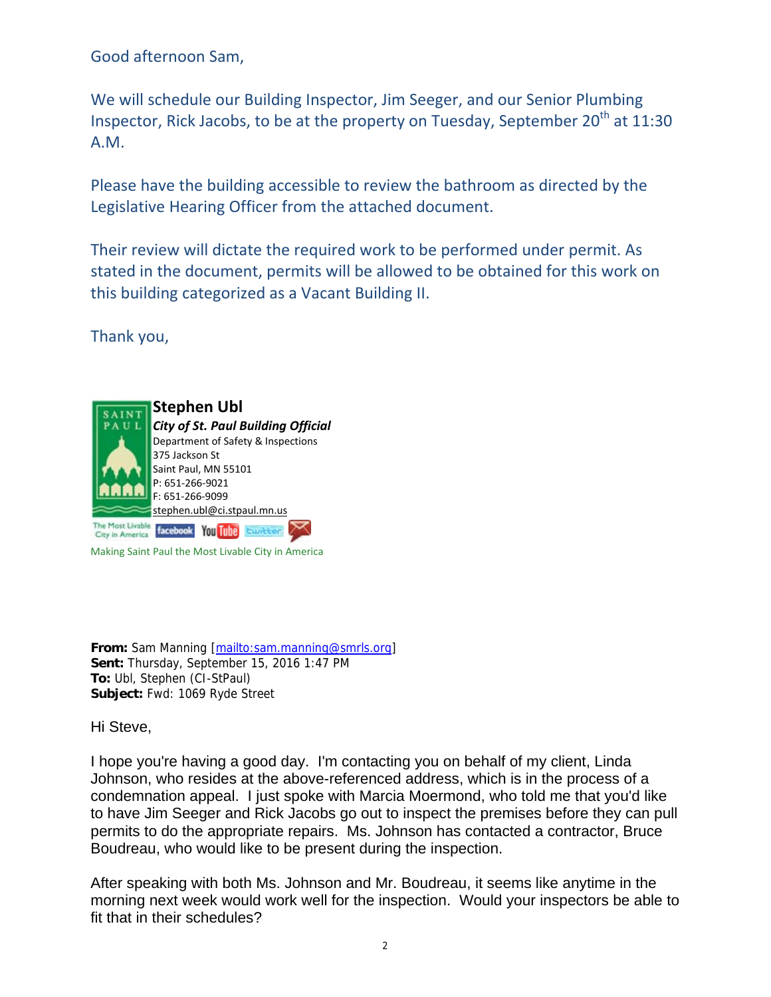Good afternoon Sam,

We will schedule our Building Inspector, Jim Seeger, and our Senior Plumbing Inspector, Rick Jacobs, to be at the property on Tuesday, September  $20^{th}$  at  $11:30$ A.M.

Please have the building accessible to review the bathroom as directed by the Legislative Hearing Officer from the attached document.

Their review will dictate the required work to be performed under permit. As stated in the document, permits will be allowed to be obtained for this work on this building categorized as a Vacant Building II.

Thank you,



Making Saint Paul the Most Livable City in America

**From:** Sam Manning [mailto:sam.manning@smrls.org] **Sent:** Thursday, September 15, 2016 1:47 PM **To:** Ubl, Stephen (CI-StPaul) **Subject:** Fwd: 1069 Ryde Street

Hi Steve,

I hope you're having a good day. I'm contacting you on behalf of my client, Linda Johnson, who resides at the above-referenced address, which is in the process of a condemnation appeal. I just spoke with Marcia Moermond, who told me that you'd like to have Jim Seeger and Rick Jacobs go out to inspect the premises before they can pull permits to do the appropriate repairs. Ms. Johnson has contacted a contractor, Bruce Boudreau, who would like to be present during the inspection.

After speaking with both Ms. Johnson and Mr. Boudreau, it seems like anytime in the morning next week would work well for the inspection. Would your inspectors be able to fit that in their schedules?